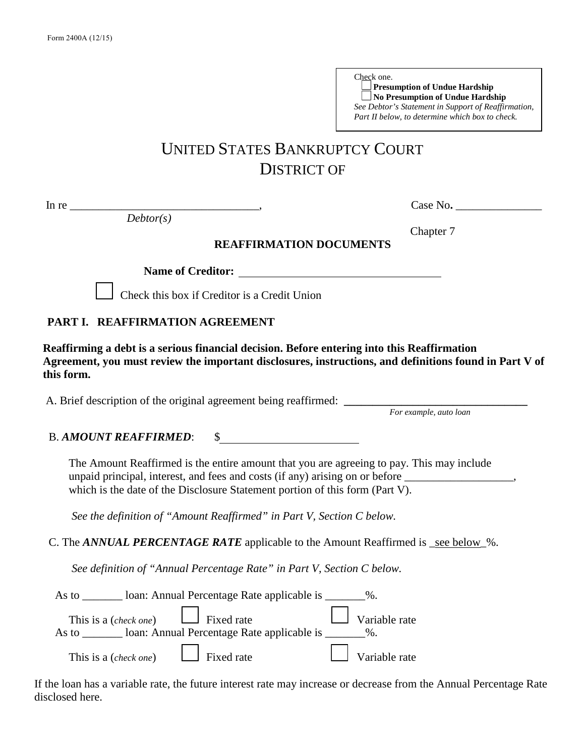| Check one.                                          |  |
|-----------------------------------------------------|--|
| Presumption of Undue Hardship                       |  |
| No Presumption of Undue Hardship                    |  |
| See Debtor's Statement in Support of Reaffirmation, |  |
| Part II below, to determine which box to check.     |  |

Chapter 7

# UNITED STATES BANKRUPTCY COURT DISTRICT OF

*Debtor(s)*

In re \_\_\_\_\_\_\_\_\_\_\_\_\_\_\_\_\_\_\_\_\_\_\_\_\_\_\_\_\_\_\_\_\_, Case No**.** \_\_\_\_\_\_\_\_\_\_\_\_\_\_\_

**REAFFIRMATION DOCUMENTS**

**Name of Creditor:**

Check this box if Creditor is a Credit Union

#### **PART I. REAFFIRMATION AGREEMENT**

 **Reaffirming a debt is a serious financial decision. Before entering into this Reaffirmation Agreement, you must review the important disclosures, instructions, and definitions found in Part V of this form.**

A. Brief description of the original agreement being reaffirmed: **\_\_\_\_\_\_\_\_\_\_\_\_\_\_\_\_\_\_\_\_\_\_\_\_\_\_\_\_\_\_\_\_**

*For example, auto loan*

B. *AMOUNT REAFFIRMED*: \$

The Amount Reaffirmed is the entire amount that you are agreeing to pay. This may include unpaid principal, interest, and fees and costs (if any) arising on or before \_\_\_\_\_\_\_\_\_\_\_\_\_\_\_\_\_\_\_\_\_\_\_ which is the date of the Disclosure Statement portion of this form (Part V).

*See the definition of "Amount Reaffirmed" in Part V, Section C below.* 

C. The *ANNUAL PERCENTAGE RATE* applicable to the Amount Reaffirmed is \_see below\_%.

*See definition of "Annual Percentage Rate" in Part V, Section C below.* 

| As to | loan: Annual Percentage Rate applicable is ________%.                                                                                                                                                                                                                                                   |                      |
|-------|---------------------------------------------------------------------------------------------------------------------------------------------------------------------------------------------------------------------------------------------------------------------------------------------------------|----------------------|
|       | This is a ( <i>check one</i> ) $\Box$ Fixed rate $\Box$ Variable rate<br>As to solution and Deriver and Percentage Rate applicable is solution of the local point of the local point of the set of the set of the set of the set of the set of the set of the set of the set of the set of the set of t |                      |
|       | This is a ( <i>check one</i> ) $\Box$ Fixed rate                                                                                                                                                                                                                                                        | $\Box$ Variable rate |

If the loan has a variable rate, the future interest rate may increase or decrease from the Annual Percentage Rate disclosed here.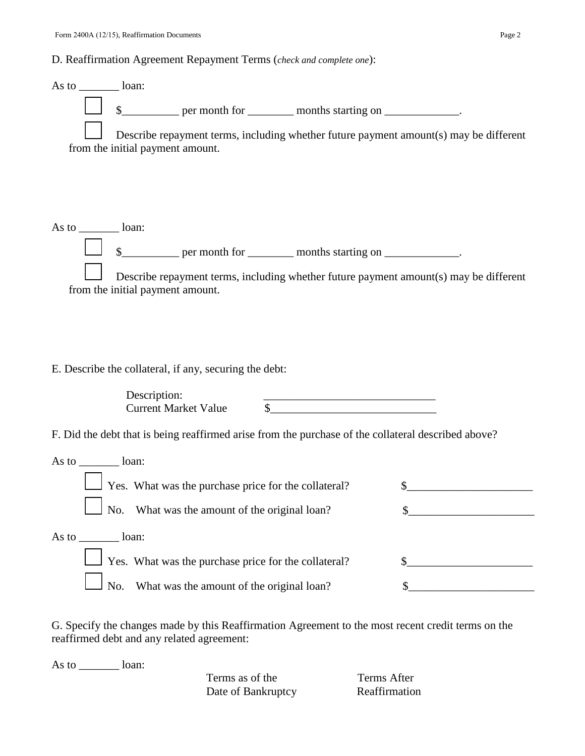## D. Reaffirmation Agreement Repayment Terms (*check and complete one*):

| As to $\_\_\_\_\_\_\$ loan: |                                  |                                                                                                                                                                                              |                                                                            |                                                                                                                                                                                                                                                                                                                                                                                               |
|-----------------------------|----------------------------------|----------------------------------------------------------------------------------------------------------------------------------------------------------------------------------------------|----------------------------------------------------------------------------|-----------------------------------------------------------------------------------------------------------------------------------------------------------------------------------------------------------------------------------------------------------------------------------------------------------------------------------------------------------------------------------------------|
|                             |                                  | \$____________ per month for ____________ months starting on _____________.                                                                                                                  |                                                                            |                                                                                                                                                                                                                                                                                                                                                                                               |
|                             | from the initial payment amount. |                                                                                                                                                                                              |                                                                            | Describe repayment terms, including whether future payment amount(s) may be different                                                                                                                                                                                                                                                                                                         |
| As to _________ loan:       |                                  | \$_____________ per month for ____________ months starting on _____________.                                                                                                                 |                                                                            |                                                                                                                                                                                                                                                                                                                                                                                               |
|                             | from the initial payment amount. |                                                                                                                                                                                              |                                                                            | Describe repayment terms, including whether future payment amount(s) may be different                                                                                                                                                                                                                                                                                                         |
|                             | Description:                     | E. Describe the collateral, if any, securing the debt:<br><b>Current Market Value</b><br>F. Did the debt that is being reaffirmed arise from the purchase of the collateral described above? | <u> 1989 - Jan James James, politik eta idazleari (h. 1989).</u><br>$\sim$ |                                                                                                                                                                                                                                                                                                                                                                                               |
| As to _________ loan:       |                                  |                                                                                                                                                                                              |                                                                            |                                                                                                                                                                                                                                                                                                                                                                                               |
|                             | No.                              | $\Box$ Yes. What was the purchase price for the collateral?<br>What was the amount of the original loan?                                                                                     |                                                                            | \$                                                                                                                                                                                                                                                                                                                                                                                            |
| As to loan:                 |                                  |                                                                                                                                                                                              |                                                                            |                                                                                                                                                                                                                                                                                                                                                                                               |
|                             |                                  | $\perp$ Yes. What was the purchase price for the collateral?                                                                                                                                 |                                                                            | $\frac{\frac{1}{2} \frac{1}{2} \frac{1}{2} \frac{1}{2} \frac{1}{2} \frac{1}{2} \frac{1}{2} \frac{1}{2} \frac{1}{2} \frac{1}{2} \frac{1}{2} \frac{1}{2} \frac{1}{2} \frac{1}{2} \frac{1}{2} \frac{1}{2} \frac{1}{2} \frac{1}{2} \frac{1}{2} \frac{1}{2} \frac{1}{2} \frac{1}{2} \frac{1}{2} \frac{1}{2} \frac{1}{2} \frac{1}{2} \frac{1}{2} \frac{1}{2} \frac{1}{2} \frac{1}{2} \frac{1}{2} \$ |
|                             | No.                              | What was the amount of the original loan?                                                                                                                                                    |                                                                            |                                                                                                                                                                                                                                                                                                                                                                                               |
|                             |                                  | reaffirmed debt and any related agreement:                                                                                                                                                   |                                                                            | G. Specify the changes made by this Reaffirmation Agreement to the most recent credit terms on the                                                                                                                                                                                                                                                                                            |

As to \_\_\_\_\_\_\_\_\_ loan:

Terms as of the Terms After Date of Bankruptcy Reaffirmation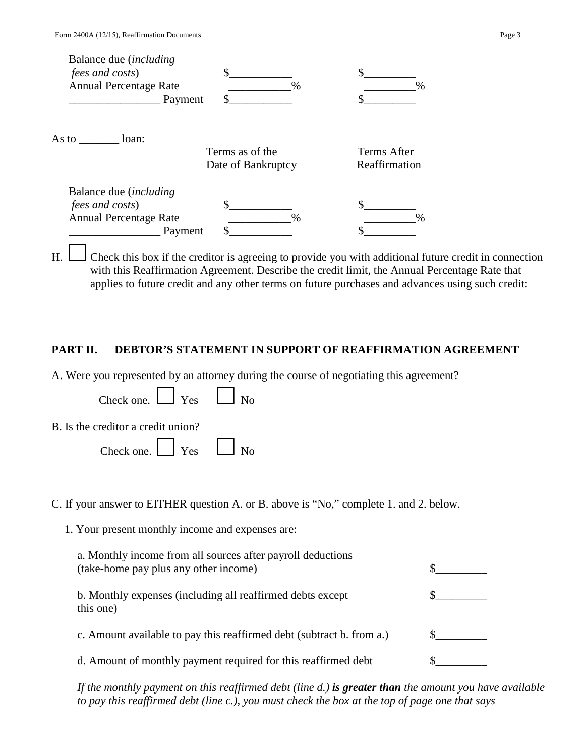| Balance due <i>(including</i> ) |                    |               |
|---------------------------------|--------------------|---------------|
| <i>fees and costs</i> )         |                    |               |
| <b>Annual Percentage Rate</b>   | $\%$               | $\frac{0}{0}$ |
|                                 | Payment            |               |
| As to $\frac{ }{ }$<br>loan:    | Terms as of the    | Terms After   |
|                                 | Date of Bankruptcy | Reaffirmation |
| Balance due <i>(including</i> ) |                    |               |
| <i>fees and costs</i> )         |                    |               |
| <b>Annual Percentage Rate</b>   | $\frac{0}{0}$      | $\frac{0}{6}$ |
|                                 | Payment            |               |

H. Check this box if the creditor is agreeing to provide you with additional future credit in connection with this Reaffirmation Agreement. Describe the credit limit, the Annual Percentage Rate that applies to future credit and any other terms on future purchases and advances using such credit:

#### **PART II. DEBTOR'S STATEMENT IN SUPPORT OF REAFFIRMATION AGREEMENT**

A. Were you represented by an attorney during the course of negotiating this agreement?

 $\blacksquare$ 

| Check one. $\Box$ Yes $\Box$ No    |  |
|------------------------------------|--|
| B. Is the creditor a credit union? |  |
| Check one. $\Box$ Yes $\Box$ No    |  |

 $\Box$ 

C. If your answer to EITHER question A. or B. above is "No," complete 1. and 2. below.

1. Your present monthly income and expenses are:

| a. Monthly income from all sources after payroll deductions<br>(take-home pay plus any other income) |  |
|------------------------------------------------------------------------------------------------------|--|
| b. Monthly expenses (including all reaffirmed debts except<br>this one)                              |  |
| c. Amount available to pay this reaffirmed debt (subtract b. from a.)                                |  |
| d. Amount of monthly payment required for this reaffirmed debt                                       |  |

*If the monthly payment on this reaffirmed debt (line d.) is greater than the amount you have available to pay this reaffirmed debt (line c.), you must check the box at the top of page one that says*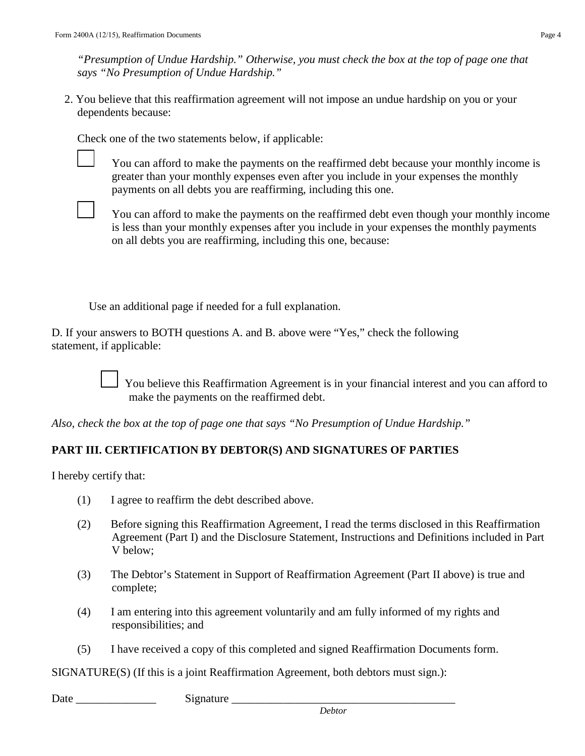*"Presumption of Undue Hardship." Otherwise, you must check the box at the top of page one that says "No Presumption of Undue Hardship."* 

2. You believe that this reaffirmation agreement will not impose an undue hardship on you or your dependents because:

Check one of the two statements below, if applicable:

You can afford to make the payments on the reaffirmed debt because your monthly income is greater than your monthly expenses even after you include in your expenses the monthly payments on all debts you are reaffirming, including this one.

You can afford to make the payments on the reaffirmed debt even though your monthly income is less than your monthly expenses after you include in your expenses the monthly payments on all debts you are reaffirming, including this one, because:

Use an additional page if needed for a full explanation.

D. If your answers to BOTH questions A. and B. above were "Yes," check the following statement, if applicable:

> You believe this Reaffirmation Agreement is in your financial interest and you can afford to make the payments on the reaffirmed debt.

*Also, check the box at the top of page one that says "No Presumption of Undue Hardship."* 

#### **PART III. CERTIFICATION BY DEBTOR(S) AND SIGNATURES OF PARTIES**

I hereby certify that:

- (1) I agree to reaffirm the debt described above.
- (2) Before signing this Reaffirmation Agreement, I read the terms disclosed in this Reaffirmation Agreement (Part I) and the Disclosure Statement, Instructions and Definitions included in Part V below;
- (3) The Debtor's Statement in Support of Reaffirmation Agreement (Part II above) is true and complete;
- (4) I am entering into this agreement voluntarily and am fully informed of my rights and responsibilities; and
- (5) I have received a copy of this completed and signed Reaffirmation Documents form.

SIGNATURE(S) (If this is a joint Reaffirmation Agreement, both debtors must sign.):

Date  $\qquad \qquad$  Signature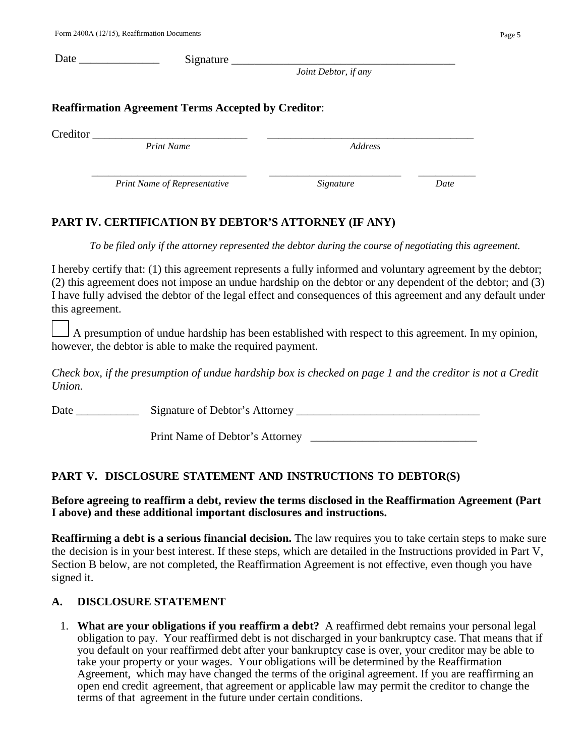|                                                            | Joint Debtor, if any |  |
|------------------------------------------------------------|----------------------|--|
| <b>Reaffirmation Agreement Terms Accepted by Creditor:</b> |                      |  |
|                                                            |                      |  |
| Creditor<br><b>Print Name</b>                              | Address              |  |

# **PART IV. CERTIFICATION BY DEBTOR'S ATTORNEY (IF ANY)**

 *To be filed only if the attorney represented the debtor during the course of negotiating this agreement.* 

I hereby certify that: (1) this agreement represents a fully informed and voluntary agreement by the debtor; (2) this agreement does not impose an undue hardship on the debtor or any dependent of the debtor; and (3) I have fully advised the debtor of the legal effect and consequences of this agreement and any default under this agreement.

A presumption of undue hardship has been established with respect to this agreement. In my opinion, however, the debtor is able to make the required payment.

 *Check box, if the presumption of undue hardship box is checked on page 1 and the creditor is not a Credit Union.* 

Date Signature of Debtor's Attorney

Print Name of Debtor's Attorney

# **PART V. DISCLOSURE STATEMENT AND INSTRUCTIONS TO DEBTOR(S)**

## **Before agreeing to reaffirm a debt, review the terms disclosed in the Reaffirmation Agreement (Part I above) and these additional important disclosures and instructions.**

**Reaffirming a debt is a serious financial decision.** The law requires you to take certain steps to make sure the decision is in your best interest. If these steps, which are detailed in the Instructions provided in Part V, Section B below, are not completed, the Reaffirmation Agreement is not effective, even though you have signed it.

## **A. DISCLOSURE STATEMENT**

1. **What are your obligations if you reaffirm a debt?** A reaffirmed debt remains your personal legal obligation to pay. Your reaffirmed debt is not discharged in your bankruptcy case. That means that if you default on your reaffirmed debt after your bankruptcy case is over, your creditor may be able to take your property or your wages. Your obligations will be determined by the Reaffirmation Agreement, which may have changed the terms of the original agreement. If you are reaffirming an open end credit agreement, that agreement or applicable law may permit the creditor to change the terms of that agreement in the future under certain conditions.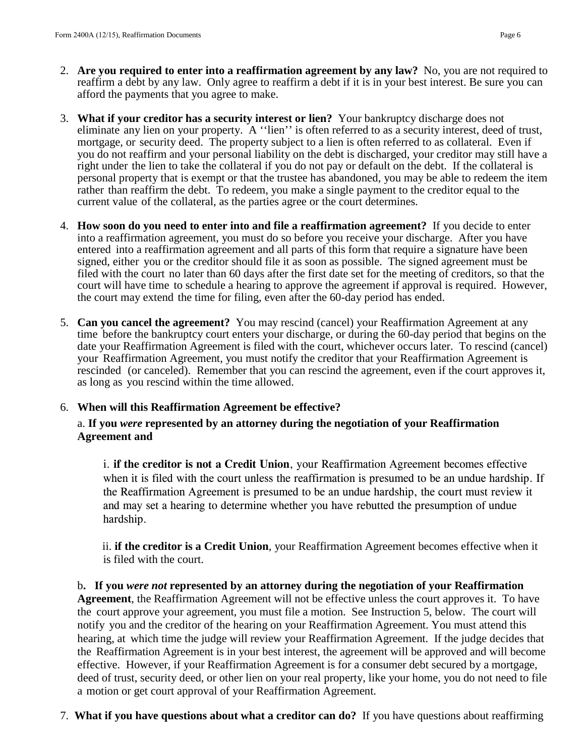- 2. **Are you required to enter into a reaffirmation agreement by any law?** No, you are not required to reaffirm a debt by any law. Only agree to reaffirm a debt if it is in your best interest. Be sure you can afford the payments that you agree to make.
- 3. **What if your creditor has a security interest or lien?** Your bankruptcy discharge does not eliminate any lien on your property. A ''lien'' is often referred to as a security interest, deed of trust, mortgage, or security deed. The property subject to a lien is often referred to as collateral. Even if you do not reaffirm and your personal liability on the debt is discharged, your creditor may still have a right under the lien to take the collateral if you do not pay or default on the debt. If the collateral is personal property that is exempt or that the trustee has abandoned, you may be able to redeem the item rather than reaffirm the debt. To redeem, you make a single payment to the creditor equal to the current value of the collateral, as the parties agree or the court determines.
- 4. **How soon do you need to enter into and file a reaffirmation agreement?** If you decide to enter into a reaffirmation agreement, you must do so before you receive your discharge. After you have entered into a reaffirmation agreement and all parts of this form that require a signature have been signed, either you or the creditor should file it as soon as possible. The signed agreement must be filed with the court no later than 60 days after the first date set for the meeting of creditors, so that the court will have time to schedule a hearing to approve the agreement if approval is required. However, the court may extend the time for filing, even after the 60-day period has ended.
- 5. **Can you cancel the agreement?** You may rescind (cancel) your Reaffirmation Agreement at any time before the bankruptcy court enters your discharge, or during the 60-day period that begins on the date your Reaffirmation Agreement is filed with the court, whichever occurs later. To rescind (cancel) your Reaffirmation Agreement, you must notify the creditor that your Reaffirmation Agreement is rescinded (or canceled). Remember that you can rescind the agreement, even if the court approves it, as long as you rescind within the time allowed.

#### 6. **When will this Reaffirmation Agreement be effective?**

#### a. **If you** *were* **represented by an attorney during the negotiation of your Reaffirmation Agreement and**

i. **if the creditor is not a Credit Union**, your Reaffirmation Agreement becomes effective when it is filed with the court unless the reaffirmation is presumed to be an undue hardship. If the Reaffirmation Agreement is presumed to be an undue hardship, the court must review it and may set a hearing to determine whether you have rebutted the presumption of undue hardship.

ii. **if the creditor is a Credit Union**, your Reaffirmation Agreement becomes effective when it is filed with the court.

b**. If you** *were not* **represented by an attorney during the negotiation of your Reaffirmation Agreement**, the Reaffirmation Agreement will not be effective unless the court approves it. To have the court approve your agreement, you must file a motion. See Instruction 5, below. The court will notify you and the creditor of the hearing on your Reaffirmation Agreement. You must attend this hearing, at which time the judge will review your Reaffirmation Agreement. If the judge decides that the Reaffirmation Agreement is in your best interest, the agreement will be approved and will become effective. However, if your Reaffirmation Agreement is for a consumer debt secured by a mortgage, deed of trust, security deed, or other lien on your real property, like your home, you do not need to file a motion or get court approval of your Reaffirmation Agreement.

7. **What if you have questions about what a creditor can do?** If you have questions about reaffirming